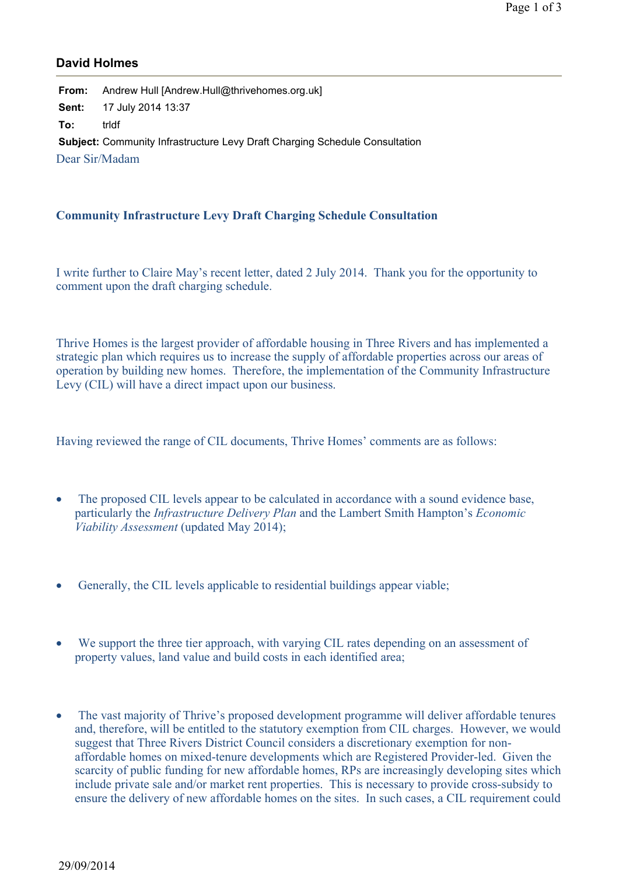## **David Holmes**

**From:** Andrew Hull [Andrew.Hull@thrivehomes.org.uk] **Sent:** 17 July 2014 13:37 **To:** trldf **Subject:** Community Infrastructure Levy Draft Charging Schedule Consultation Dear Sir/Madam

## **Community Infrastructure Levy Draft Charging Schedule Consultation**

I write further to Claire May's recent letter, dated 2 July 2014. Thank you for the opportunity to comment upon the draft charging schedule.

Thrive Homes is the largest provider of affordable housing in Three Rivers and has implemented a strategic plan which requires us to increase the supply of affordable properties across our areas of operation by building new homes. Therefore, the implementation of the Community Infrastructure Levy (CIL) will have a direct impact upon our business.

Having reviewed the range of CIL documents, Thrive Homes' comments are as follows:

- The proposed CIL levels appear to be calculated in accordance with a sound evidence base, particularly the *Infrastructure Delivery Plan* and the Lambert Smith Hampton's *Economic Viability Assessment* (updated May 2014);
- Generally, the CIL levels applicable to residential buildings appear viable;
- We support the three tier approach, with varying CIL rates depending on an assessment of property values, land value and build costs in each identified area;
- The vast majority of Thrive's proposed development programme will deliver affordable tenures and, therefore, will be entitled to the statutory exemption from CIL charges. However, we would suggest that Three Rivers District Council considers a discretionary exemption for nonaffordable homes on mixed-tenure developments which are Registered Provider-led. Given the scarcity of public funding for new affordable homes, RPs are increasingly developing sites which include private sale and/or market rent properties. This is necessary to provide cross-subsidy to ensure the delivery of new affordable homes on the sites. In such cases, a CIL requirement could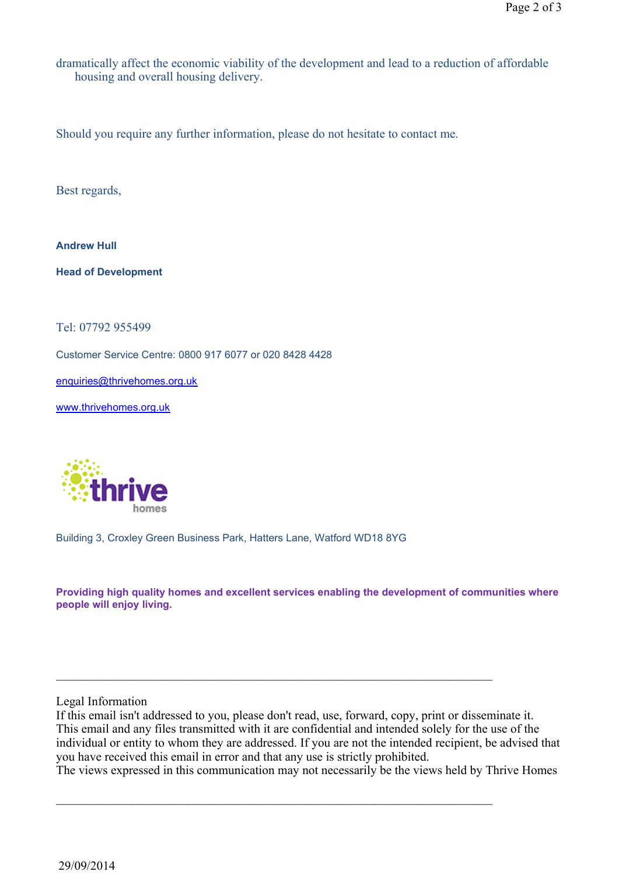dramatically affect the economic viability of the development and lead to a reduction of affordable housing and overall housing delivery.

Should you require any further information, please do not hesitate to contact me.

Best regards,

**Andrew Hull**

**Head of Development**

Tel: 07792 955499

Customer Service Centre: 0800 917 6077 or 020 8428 4428

enquiries@thrivehomes.org.uk

www.thrivehomes.org.uk



Building 3, Croxley Green Business Park, Hatters Lane, Watford WD18 8YG

**Providing high quality homes and excellent services enabling the development of communities where people will enjoy living.**

Legal Information

If this email isn't addressed to you, please don't read, use, forward, copy, print or disseminate it. This email and any files transmitted with it are confidential and intended solely for the use of the individual or entity to whom they are addressed. If you are not the intended recipient, be advised that you have received this email in error and that any use is strictly prohibited.

\_\_\_\_\_\_\_\_\_\_\_\_\_\_\_\_\_\_\_\_\_\_\_\_\_\_\_\_\_\_\_\_\_\_\_\_\_\_\_\_\_\_\_\_\_\_\_\_\_\_\_\_\_\_\_\_\_\_\_\_\_\_\_\_\_\_\_\_\_\_

\_\_\_\_\_\_\_\_\_\_\_\_\_\_\_\_\_\_\_\_\_\_\_\_\_\_\_\_\_\_\_\_\_\_\_\_\_\_\_\_\_\_\_\_\_\_\_\_\_\_\_\_\_\_\_\_\_\_\_\_\_\_\_\_\_\_\_\_\_\_

The views expressed in this communication may not necessarily be the views held by Thrive Homes